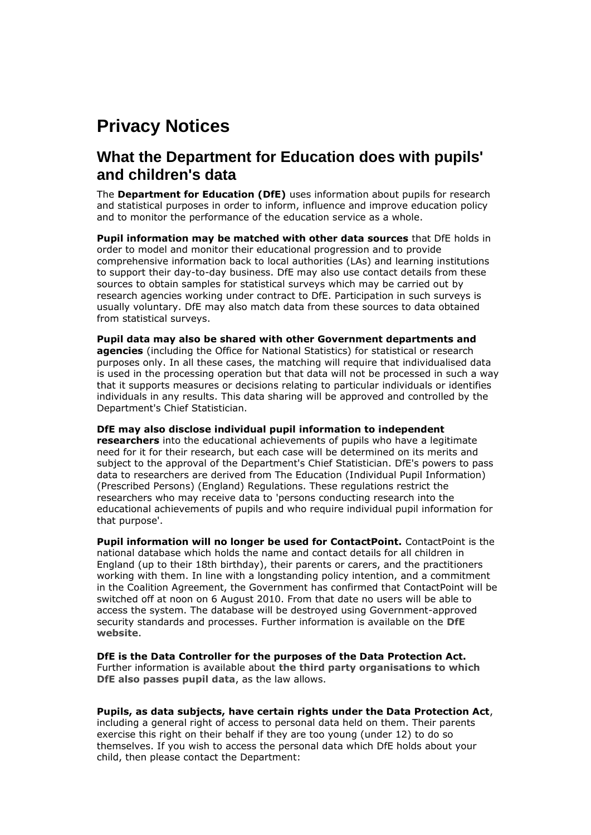## **Privacy Notices**

## **What the Department for Education does with pupils' and children's data**

The **Department for Education (DfE)** uses information about pupils for research and statistical purposes in order to inform, influence and improve education policy and to monitor the performance of the education service as a whole.

**Pupil information may be matched with other data sources** that DfE holds in order to model and monitor their educational progression and to provide comprehensive information back to local authorities (LAs) and learning institutions to support their day-to-day business. DfE may also use contact details from these sources to obtain samples for statistical surveys which may be carried out by research agencies working under contract to DfE. Participation in such surveys is usually voluntary. DfE may also match data from these sources to data obtained from statistical surveys.

**Pupil data may also be shared with other Government departments and agencies** (including the Office for National Statistics) for statistical or research purposes only. In all these cases, the matching will require that individualised data is used in the processing operation but that data will not be processed in such a way that it supports measures or decisions relating to particular individuals or identifies individuals in any results. This data sharing will be approved and controlled by the Department's Chief Statistician.

## **DfE may also disclose individual pupil information to independent**

**researchers** into the educational achievements of pupils who have a legitimate need for it for their research, but each case will be determined on its merits and subject to the approval of the Department's Chief Statistician. DfE's powers to pass data to researchers are derived from The Education (Individual Pupil Information) (Prescribed Persons) (England) Regulations. These regulations restrict the researchers who may receive data to 'persons conducting research into the educational achievements of pupils and who require individual pupil information for that purpose'.

**Pupil information will no longer be used for ContactPoint.** ContactPoint is the national database which holds the name and contact details for all children in England (up to their 18th birthday), their parents or carers, and the practitioners working with them. In line with a longstanding policy intention, and a commitment in the Coalition Agreement, the Government has confirmed that ContactPoint will be switched off at noon on 6 August 2010. From that date no users will be able to access the system. The database will be destroyed using Government-approved security standards and processes. Further information is available on the **[DfE](http://www.education.gov.uk/news/news/ctptclose)  [website](http://www.education.gov.uk/news/news/ctptclose)**.

**DfE is the Data Controller for the purposes of the Data Protection Act.** Further information is available about **[the third party organisations to which](http://www.teachernet.gov.uk/management/ims/datamanagement/privacynotices/pupilsdata/thirdpartyorgs/)  [DfE also passes pupil data](http://www.teachernet.gov.uk/management/ims/datamanagement/privacynotices/pupilsdata/thirdpartyorgs/)**, as the law allows.

## **Pupils, as data subjects, have certain rights under the Data Protection Act**,

including a general right of access to personal data held on them. Their parents exercise this right on their behalf if they are too young (under 12) to do so themselves. If you wish to access the personal data which DfE holds about your child, then please contact the Department: